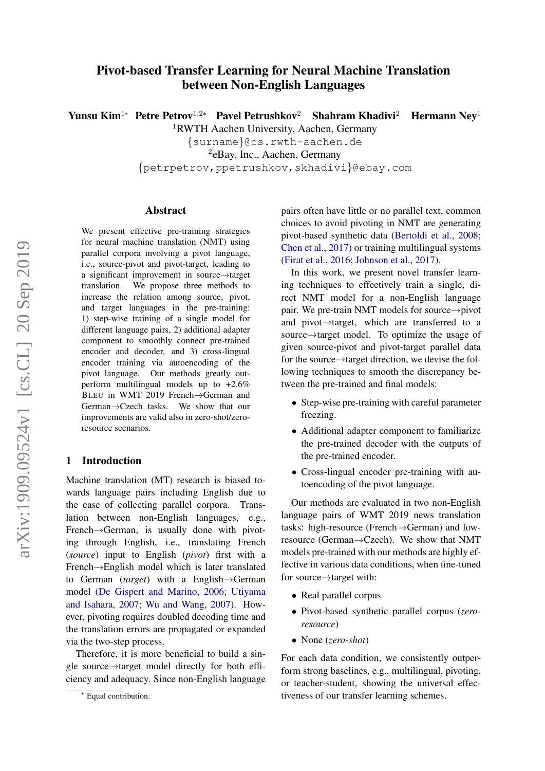# Pivot-based Transfer Learning for Neural Machine Translation between Non-English Languages

Yunsu Kim<sup>1∗</sup> Petre Petrov<sup>1,2</sup>\* Pavel Petrushkov<sup>2</sup> Shahram Khadivi<sup>2</sup> Hermann Nev<sup>1</sup>

<sup>1</sup>RWTH Aachen University, Aachen, Germany

{surname}@cs.rwth-aachen.de

2 eBay, Inc., Aachen, Germany

{petrpetrov,ppetrushkov,skhadivi}@ebay.com

#### Abstract

We present effective pre-training strategies for neural machine translation (NMT) using parallel corpora involving a pivot language, i.e., source-pivot and pivot-target, leading to a significant improvement in source→target translation. We propose three methods to increase the relation among source, pivot, and target languages in the pre-training: 1) step-wise training of a single model for different language pairs, 2) additional adapter component to smoothly connect pre-trained encoder and decoder, and 3) cross-lingual encoder training via autoencoding of the pivot language. Our methods greatly outperform multilingual models up to +2.6% BLEU in WMT 2019 French→German and German→Czech tasks. We show that our improvements are valid also in zero-shot/zeroresource scenarios.

### 1 Introduction

Machine translation (MT) research is biased towards language pairs including English due to the ease of collecting parallel corpora. Translation between non-English languages, e.g., French→German, is usually done with pivoting through English, i.e., translating French (*source*) input to English (*pivot*) first with a French→English model which is later translated to German (*target*) with a English→German model [\(De Gispert and Marino,](#page-9-0) [2006;](#page-9-0) [Utiyama](#page-10-0) [and Isahara,](#page-10-0) [2007;](#page-10-0) [Wu and Wang,](#page-10-1) [2007\)](#page-10-1). However, pivoting requires doubled decoding time and the translation errors are propagated or expanded via the two-step process.

Therefore, it is more beneficial to build a single source→target model directly for both efficiency and adequacy. Since non-English language

pairs often have little or no parallel text, common choices to avoid pivoting in NMT are generating pivot-based synthetic data [\(Bertoldi et al.,](#page-8-0) [2008;](#page-8-0) [Chen et al.,](#page-8-1) [2017\)](#page-8-1) or training multilingual systems [\(Firat et al.,](#page-9-1) [2016;](#page-9-1) [Johnson et al.,](#page-9-2) [2017\)](#page-9-2).

In this work, we present novel transfer learning techniques to effectively train a single, direct NMT model for a non-English language pair. We pre-train NMT models for source→pivot and pivot→target, which are transferred to a source→target model. To optimize the usage of given source-pivot and pivot-target parallel data for the source→target direction, we devise the following techniques to smooth the discrepancy between the pre-trained and final models:

- Step-wise pre-training with careful parameter freezing.
- Additional adapter component to familiarize the pre-trained decoder with the outputs of the pre-trained encoder.
- Cross-lingual encoder pre-training with autoencoding of the pivot language.

Our methods are evaluated in two non-English language pairs of WMT 2019 news translation tasks: high-resource (French→German) and lowresource (German→Czech). We show that NMT models pre-trained with our methods are highly effective in various data conditions, when fine-tuned for source→target with:

- Real parallel corpus
- Pivot-based synthetic parallel corpus (*zeroresource*)
- None (*zero-shot*)

For each data condition, we consistently outperform strong baselines, e.g., multilingual, pivoting, or teacher-student, showing the universal effectiveness of our transfer learning schemes.

<sup>∗</sup> Equal contribution.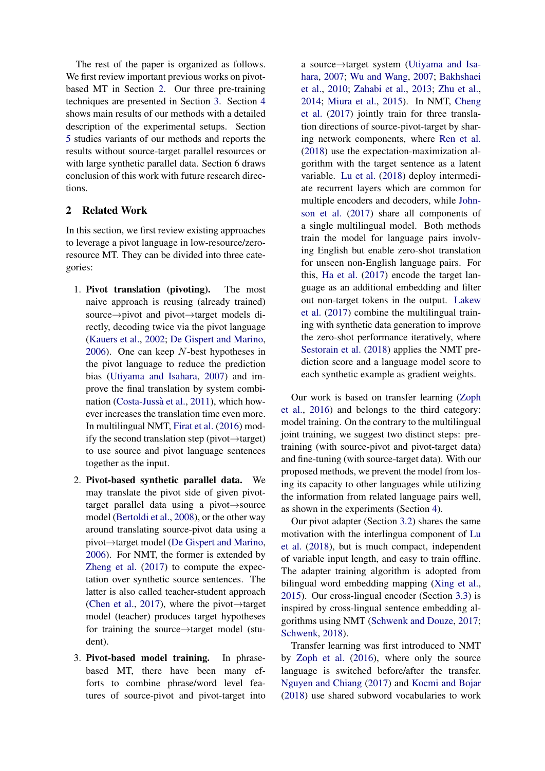The rest of the paper is organized as follows. We first review important previous works on pivotbased MT in Section [2.](#page-1-0) Our three pre-training techniques are presented in Section [3.](#page-2-0) Section [4](#page-4-0) shows main results of our methods with a detailed description of the experimental setups. Section [5](#page-6-0) studies variants of our methods and reports the results without source-target parallel resources or with large synthetic parallel data. Section 6 draws conclusion of this work with future research directions.

# <span id="page-1-0"></span>2 Related Work

In this section, we first review existing approaches to leverage a pivot language in low-resource/zeroresource MT. They can be divided into three categories:

- <span id="page-1-1"></span>1. Pivot translation (pivoting). The most naive approach is reusing (already trained) source→pivot and pivot→target models directly, decoding twice via the pivot language [\(Kauers et al.,](#page-9-3) [2002;](#page-9-3) [De Gispert and Marino,](#page-9-0) [2006\)](#page-9-0). One can keep N-best hypotheses in the pivot language to reduce the prediction bias [\(Utiyama and Isahara,](#page-10-0) [2007\)](#page-10-0) and improve the final translation by system combi-nation (Costa-Jussà et al., [2011\)](#page-9-4), which however increases the translation time even more. In multilingual NMT, [Firat et al.](#page-9-1) [\(2016\)](#page-9-1) modify the second translation step (pivot→target) to use source and pivot language sentences together as the input.
- <span id="page-1-2"></span>2. Pivot-based synthetic parallel data. We may translate the pivot side of given pivottarget parallel data using a pivot→source model [\(Bertoldi et al.,](#page-8-0) [2008\)](#page-8-0), or the other way around translating source-pivot data using a pivot→target model [\(De Gispert and Marino,](#page-9-0) [2006\)](#page-9-0). For NMT, the former is extended by [Zheng et al.](#page-10-2) [\(2017\)](#page-10-2) to compute the expectation over synthetic source sentences. The latter is also called teacher-student approach [\(Chen et al.,](#page-8-1) [2017\)](#page-8-1), where the pivot $\rightarrow$ target model (teacher) produces target hypotheses for training the source→target model (student).
- 3. Pivot-based model training. In phrasebased MT, there have been many efforts to combine phrase/word level features of source-pivot and pivot-target into

a source→target system [\(Utiyama and Isa](#page-10-0)[hara,](#page-10-0) [2007;](#page-10-0) [Wu and Wang,](#page-10-1) [2007;](#page-10-1) [Bakhshaei](#page-8-2) [et al.,](#page-8-2) [2010;](#page-8-2) [Zahabi et al.,](#page-10-3) [2013;](#page-10-3) [Zhu et al.,](#page-10-4) [2014;](#page-10-4) [Miura et al.,](#page-9-5) [2015\)](#page-9-5). In NMT, [Cheng](#page-9-6) [et al.](#page-9-6) [\(2017\)](#page-9-6) jointly train for three translation directions of source-pivot-target by sharing network components, where [Ren et al.](#page-10-5) [\(2018\)](#page-10-5) use the expectation-maximization algorithm with the target sentence as a latent variable. [Lu et al.](#page-9-7) [\(2018\)](#page-9-7) deploy intermediate recurrent layers which are common for multiple encoders and decoders, while [John](#page-9-2)[son et al.](#page-9-2) [\(2017\)](#page-9-2) share all components of a single multilingual model. Both methods train the model for language pairs involving English but enable zero-shot translation for unseen non-English language pairs. For this, [Ha et al.](#page-9-8) [\(2017\)](#page-9-8) encode the target language as an additional embedding and filter out non-target tokens in the output. [Lakew](#page-9-9) [et al.](#page-9-9) [\(2017\)](#page-9-9) combine the multilingual training with synthetic data generation to improve the zero-shot performance iteratively, where [Sestorain et al.](#page-10-6) [\(2018\)](#page-10-6) applies the NMT prediction score and a language model score to each synthetic example as gradient weights.

Our work is based on transfer learning [\(Zoph](#page-10-7) [et al.,](#page-10-7) [2016\)](#page-10-7) and belongs to the third category: model training. On the contrary to the multilingual joint training, we suggest two distinct steps: pretraining (with source-pivot and pivot-target data) and fine-tuning (with source-target data). With our proposed methods, we prevent the model from losing its capacity to other languages while utilizing the information from related language pairs well, as shown in the experiments (Section [4\)](#page-4-0).

Our pivot adapter (Section [3.2\)](#page-3-0) shares the same motivation with the interlingua component of [Lu](#page-9-7) [et al.](#page-9-7) [\(2018\)](#page-9-7), but is much compact, independent of variable input length, and easy to train offline. The adapter training algorithm is adopted from bilingual word embedding mapping [\(Xing et al.,](#page-10-8) [2015\)](#page-10-8). Our cross-lingual encoder (Section [3.3\)](#page-3-1) is inspired by cross-lingual sentence embedding algorithms using NMT [\(Schwenk and Douze,](#page-10-9) [2017;](#page-10-9) [Schwenk,](#page-10-10) [2018\)](#page-10-10).

Transfer learning was first introduced to NMT by [Zoph et al.](#page-10-7) [\(2016\)](#page-10-7), where only the source language is switched before/after the transfer. [Nguyen and Chiang](#page-9-10) [\(2017\)](#page-9-10) and [Kocmi and Bojar](#page-9-11) [\(2018\)](#page-9-11) use shared subword vocabularies to work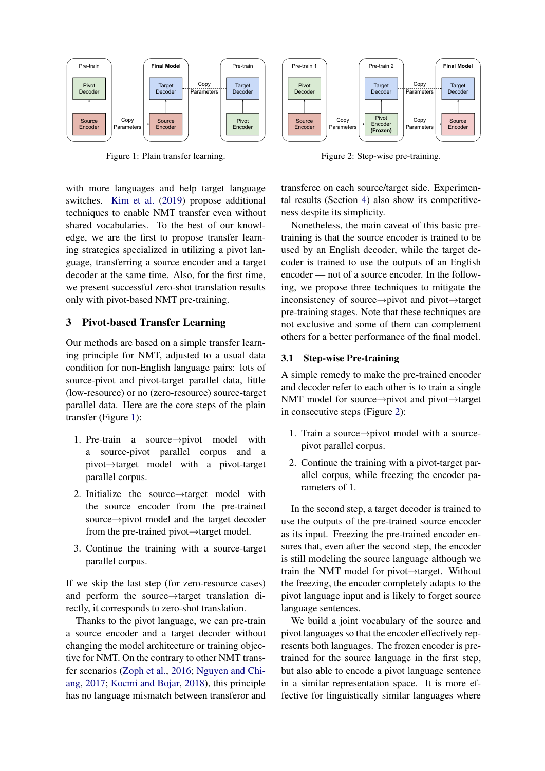<span id="page-2-1"></span>

Figure 1: Plain transfer learning.

with more languages and help target language switches. [Kim et al.](#page-9-12) [\(2019\)](#page-9-12) propose additional techniques to enable NMT transfer even without shared vocabularies. To the best of our knowledge, we are the first to propose transfer learning strategies specialized in utilizing a pivot language, transferring a source encoder and a target decoder at the same time. Also, for the first time, we present successful zero-shot translation results only with pivot-based NMT pre-training.

### <span id="page-2-0"></span>3 Pivot-based Transfer Learning

Our methods are based on a simple transfer learning principle for NMT, adjusted to a usual data condition for non-English language pairs: lots of source-pivot and pivot-target parallel data, little (low-resource) or no (zero-resource) source-target parallel data. Here are the core steps of the plain transfer (Figure [1\)](#page-2-1):

- 1. Pre-train a source→pivot model with a source-pivot parallel corpus and a pivot→target model with a pivot-target parallel corpus.
- 2. Initialize the source→target model with the source encoder from the pre-trained source→pivot model and the target decoder from the pre-trained pivot→target model.
- 3. Continue the training with a source-target parallel corpus.

If we skip the last step (for zero-resource cases) and perform the source→target translation directly, it corresponds to zero-shot translation.

Thanks to the pivot language, we can pre-train a source encoder and a target decoder without changing the model architecture or training objective for NMT. On the contrary to other NMT transfer scenarios [\(Zoph et al.,](#page-10-7) [2016;](#page-10-7) [Nguyen and Chi](#page-9-10)[ang,](#page-9-10) [2017;](#page-9-10) [Kocmi and Bojar,](#page-9-11) [2018\)](#page-9-11), this principle has no language mismatch between transferor and

<span id="page-2-2"></span>

Figure 2: Step-wise pre-training.

transferee on each source/target side. Experimental results (Section [4\)](#page-4-0) also show its competitiveness despite its simplicity.

Nonetheless, the main caveat of this basic pretraining is that the source encoder is trained to be used by an English decoder, while the target decoder is trained to use the outputs of an English encoder — not of a source encoder. In the following, we propose three techniques to mitigate the inconsistency of source→pivot and pivot→target pre-training stages. Note that these techniques are not exclusive and some of them can complement others for a better performance of the final model.

## <span id="page-2-3"></span>3.1 Step-wise Pre-training

A simple remedy to make the pre-trained encoder and decoder refer to each other is to train a single NMT model for source→pivot and pivot→target in consecutive steps (Figure [2\)](#page-2-2):

- 1. Train a source→pivot model with a sourcepivot parallel corpus.
- 2. Continue the training with a pivot-target parallel corpus, while freezing the encoder parameters of 1.

In the second step, a target decoder is trained to use the outputs of the pre-trained source encoder as its input. Freezing the pre-trained encoder ensures that, even after the second step, the encoder is still modeling the source language although we train the NMT model for pivot→target. Without the freezing, the encoder completely adapts to the pivot language input and is likely to forget source language sentences.

We build a joint vocabulary of the source and pivot languages so that the encoder effectively represents both languages. The frozen encoder is pretrained for the source language in the first step, but also able to encode a pivot language sentence in a similar representation space. It is more effective for linguistically similar languages where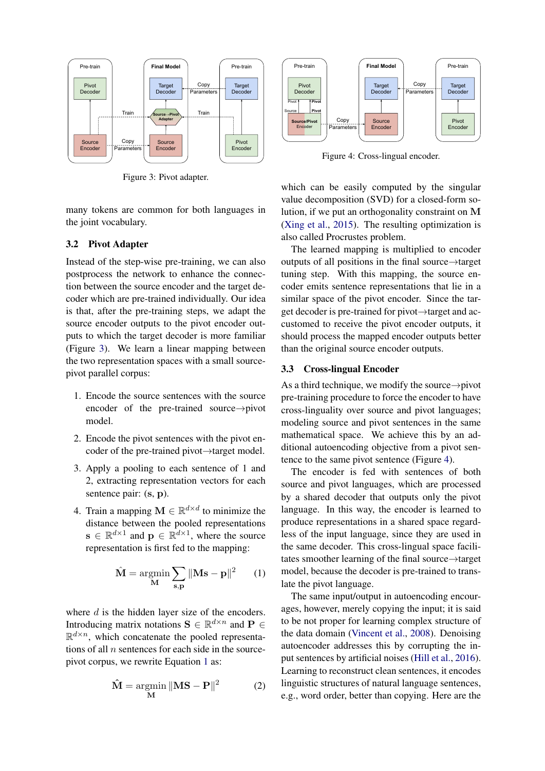<span id="page-3-2"></span>

Figure 3: Pivot adapter.

<span id="page-3-4"></span>

Figure 4: Cross-lingual encoder.

many tokens are common for both languages in the joint vocabulary.

### <span id="page-3-0"></span>3.2 Pivot Adapter

Instead of the step-wise pre-training, we can also postprocess the network to enhance the connection between the source encoder and the target decoder which are pre-trained individually. Our idea is that, after the pre-training steps, we adapt the source encoder outputs to the pivot encoder outputs to which the target decoder is more familiar (Figure [3\)](#page-3-2). We learn a linear mapping between the two representation spaces with a small sourcepivot parallel corpus:

- 1. Encode the source sentences with the source encoder of the pre-trained source→pivot model.
- 2. Encode the pivot sentences with the pivot encoder of the pre-trained pivot→target model.
- 3. Apply a pooling to each sentence of 1 and 2, extracting representation vectors for each sentence pair:  $(s, p)$ .
- 4. Train a mapping  $\mathbf{M} \in \mathbb{R}^{d \times d}$  to minimize the distance between the pooled representations  $\mathbf{s} \in \mathbb{R}^{d \times 1}$  and  $\mathbf{p} \in \mathbb{R}^{d \times 1}$ , where the source representation is first fed to the mapping:

$$
\hat{\mathbf{M}} = \underset{\mathbf{M}}{\operatorname{argmin}} \sum_{\mathbf{s}, \mathbf{p}} \|\mathbf{M}\mathbf{s} - \mathbf{p}\|^2 \qquad (1)
$$

where d is the hidden layer size of the encoders. Introducing matrix notations  $\mathbf{S} \in \mathbb{R}^{d \times n}$  and  $\mathbf{P} \in$  $\mathbb{R}^{d \times n}$ , which concatenate the pooled representations of all  $n$  sentences for each side in the sourcepivot corpus, we rewrite Equation [1](#page-3-3) as:

$$
\hat{\mathbf{M}} = \underset{\mathbf{M}}{\operatorname{argmin}} \|\mathbf{M}\mathbf{S} - \mathbf{P}\|^2 \tag{2}
$$

which can be easily computed by the singular value decomposition (SVD) for a closed-form solution, if we put an orthogonality constraint on M [\(Xing et al.,](#page-10-8) [2015\)](#page-10-8). The resulting optimization is also called Procrustes problem.

The learned mapping is multiplied to encoder outputs of all positions in the final source→target tuning step. With this mapping, the source encoder emits sentence representations that lie in a similar space of the pivot encoder. Since the target decoder is pre-trained for pivot→target and accustomed to receive the pivot encoder outputs, it should process the mapped encoder outputs better than the original source encoder outputs.

#### <span id="page-3-1"></span>3.3 Cross-lingual Encoder

As a third technique, we modify the source $\rightarrow$ pivot pre-training procedure to force the encoder to have cross-linguality over source and pivot languages; modeling source and pivot sentences in the same mathematical space. We achieve this by an additional autoencoding objective from a pivot sentence to the same pivot sentence (Figure [4\)](#page-3-4).

The encoder is fed with sentences of both source and pivot languages, which are processed by a shared decoder that outputs only the pivot language. In this way, the encoder is learned to produce representations in a shared space regardless of the input language, since they are used in the same decoder. This cross-lingual space facilitates smoother learning of the final source→target model, because the decoder is pre-trained to translate the pivot language.

<span id="page-3-3"></span>The same input/output in autoencoding encourages, however, merely copying the input; it is said to be not proper for learning complex structure of the data domain [\(Vincent et al.,](#page-10-11) [2008\)](#page-10-11). Denoising autoencoder addresses this by corrupting the input sentences by artificial noises [\(Hill et al.,](#page-9-13) [2016\)](#page-9-13). Learning to reconstruct clean sentences, it encodes linguistic structures of natural language sentences, e.g., word order, better than copying. Here are the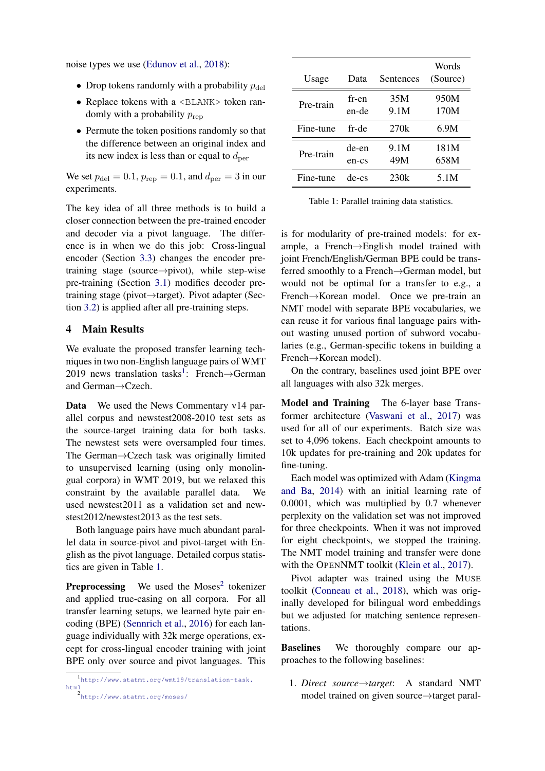noise types we use [\(Edunov et al.,](#page-9-14) [2018\)](#page-9-14):

- Drop tokens randomly with a probability  $p_{\text{del}}$
- Replace tokens with a <BLANK> token randomly with a probability  $p_{\text{rep}}$
- Permute the token positions randomly so that the difference between an original index and its new index is less than or equal to  $d_{\text{per}}$

We set  $p_{\text{del}} = 0.1$ ,  $p_{\text{rep}} = 0.1$ , and  $d_{\text{per}} = 3$  in our experiments.

The key idea of all three methods is to build a closer connection between the pre-trained encoder and decoder via a pivot language. The difference is in when we do this job: Cross-lingual encoder (Section [3.3\)](#page-3-1) changes the encoder pretraining stage (source→pivot), while step-wise pre-training (Section [3.1\)](#page-2-3) modifies decoder pretraining stage (pivot→target). Pivot adapter (Section [3.2\)](#page-3-0) is applied after all pre-training steps.

# <span id="page-4-0"></span>4 Main Results

We evaluate the proposed transfer learning techniques in two non-English language pairs of WMT 20[1](#page-4-1)9 news translation tasks<sup>1</sup>: French $\rightarrow$ German and German→Czech.

Data We used the News Commentary v14 parallel corpus and newstest2008-2010 test sets as the source-target training data for both tasks. The newstest sets were oversampled four times. The German→Czech task was originally limited to unsupervised learning (using only monolingual corpora) in WMT 2019, but we relaxed this constraint by the available parallel data. We used newstest2011 as a validation set and newstest2012/newstest2013 as the test sets.

Both language pairs have much abundant parallel data in source-pivot and pivot-target with English as the pivot language. Detailed corpus statistics are given in Table [1.](#page-4-2)

**Preprocessing** We used the Moses<sup>[2](#page-4-3)</sup> tokenizer and applied true-casing on all corpora. For all transfer learning setups, we learned byte pair encoding (BPE) [\(Sennrich et al.,](#page-10-12) [2016\)](#page-10-12) for each language individually with 32k merge operations, except for cross-lingual encoder training with joint BPE only over source and pivot languages. This

<span id="page-4-2"></span>

| Usage     | Data           | Sentences   | Words<br>(Source) |
|-----------|----------------|-------------|-------------------|
| Pre-train | fr-en<br>en-de | 35M<br>9.1M | 950M<br>170M      |
| Fine-tune | fr-de          | 270k        | 6.9M              |
| Pre-train | de-en<br>en-cs | 9.1M<br>49M | 181M<br>658M      |
| Fine-tune | de-cs          | 230k        | 5.1M              |

Table 1: Parallel training data statistics.

is for modularity of pre-trained models: for example, a French→English model trained with joint French/English/German BPE could be transferred smoothly to a French→German model, but would not be optimal for a transfer to e.g., a French→Korean model. Once we pre-train an NMT model with separate BPE vocabularies, we can reuse it for various final language pairs without wasting unused portion of subword vocabularies (e.g., German-specific tokens in building a French→Korean model).

On the contrary, baselines used joint BPE over all languages with also 32k merges.

Model and Training The 6-layer base Transformer architecture [\(Vaswani et al.,](#page-10-13) [2017\)](#page-10-13) was used for all of our experiments. Batch size was set to 4,096 tokens. Each checkpoint amounts to 10k updates for pre-training and 20k updates for fine-tuning.

Each model was optimized with Adam [\(Kingma](#page-9-15) [and Ba,](#page-9-15) [2014\)](#page-9-15) with an initial learning rate of 0.0001, which was multiplied by 0.7 whenever perplexity on the validation set was not improved for three checkpoints. When it was not improved for eight checkpoints, we stopped the training. The NMT model training and transfer were done with the OPENNMT toolkit [\(Klein et al.,](#page-9-16) [2017\)](#page-9-16).

Pivot adapter was trained using the MUSE toolkit [\(Conneau et al.,](#page-9-17) [2018\)](#page-9-17), which was originally developed for bilingual word embeddings but we adjusted for matching sentence representations.

Baselines We thoroughly compare our approaches to the following baselines:

1. *Direct source*→*target*: A standard NMT model trained on given source→target paral-

<span id="page-4-1"></span><sup>1</sup> [http://www.statmt.org/wmt19/translation-task.](http://www.statmt.org/wmt19/translation-task.html) [html](http://www.statmt.org/wmt19/translation-task.html)

<span id="page-4-3"></span><sup>2</sup> <http://www.statmt.org/moses/>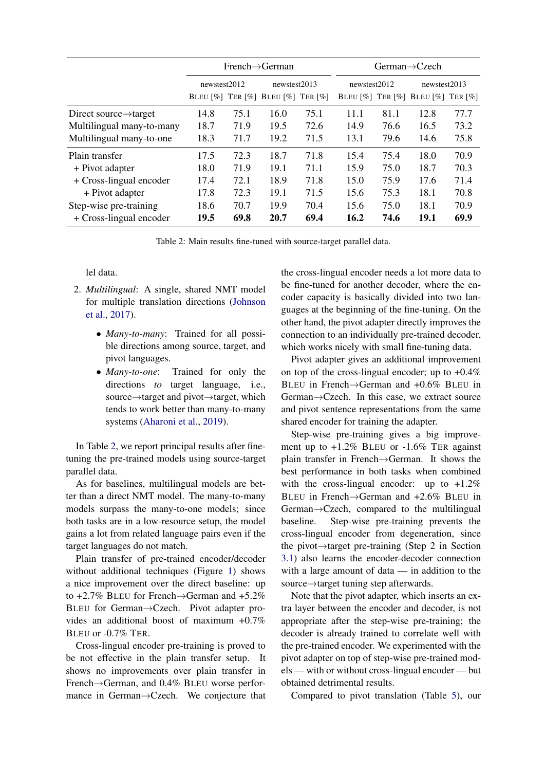<span id="page-5-0"></span>

|                                    | $French \rightarrow German$ |      |                                   |      | German $\rightarrow$ Czech |      |                                   |      |
|------------------------------------|-----------------------------|------|-----------------------------------|------|----------------------------|------|-----------------------------------|------|
|                                    | newstest2012                |      | newstest2013                      |      | newstest2012               |      | newstest2013                      |      |
|                                    |                             |      | BLEU [%] TER [%] BLEU [%] TER [%] |      |                            |      | BLEU [%] TER [%] BLEU [%] TER [%] |      |
| Direct source $\rightarrow$ target | 14.8                        | 75.1 | 16.0                              | 75.1 | 11.1                       | 81.1 | 12.8                              | 77.7 |
| Multilingual many-to-many          | 18.7                        | 71.9 | 19.5                              | 72.6 | 14.9                       | 76.6 | 16.5                              | 73.2 |
| Multilingual many-to-one           | 18.3                        | 71.7 | 19.2                              | 71.5 | 13.1                       | 79.6 | 14.6                              | 75.8 |
| Plain transfer                     | 17.5                        | 72.3 | 18.7                              | 71.8 | 15.4                       | 75.4 | 18.0                              | 70.9 |
| + Pivot adapter                    | 18.0                        | 71.9 | 19.1                              | 71.1 | 15.9                       | 75.0 | 18.7                              | 70.3 |
| + Cross-lingual encoder            | 17.4                        | 72.1 | 18.9                              | 71.8 | 15.0                       | 75.9 | 17.6                              | 71.4 |
| + Pivot adapter                    | 17.8                        | 72.3 | 19.1                              | 71.5 | 15.6                       | 75.3 | 18.1                              | 70.8 |
| Step-wise pre-training             | 18.6                        | 70.7 | 19.9                              | 70.4 | 15.6                       | 75.0 | 18.1                              | 70.9 |
| + Cross-lingual encoder            | 19.5                        | 69.8 | 20.7                              | 69.4 | 16.2                       | 74.6 | 19.1                              | 69.9 |

Table 2: Main results fine-tuned with source-target parallel data.

# lel data.

- 2. *Multilingual*: A single, shared NMT model for multiple translation directions [\(Johnson](#page-9-2) [et al.,](#page-9-2) [2017\)](#page-9-2).
	- *Many-to-many*: Trained for all possible directions among source, target, and pivot languages.
	- *Many-to-one*: Trained for only the directions *to* target language, i.e., source→target and pivot→target, which tends to work better than many-to-many systems [\(Aharoni et al.,](#page-8-3) [2019\)](#page-8-3).

In Table [2,](#page-5-0) we report principal results after finetuning the pre-trained models using source-target parallel data.

As for baselines, multilingual models are better than a direct NMT model. The many-to-many models surpass the many-to-one models; since both tasks are in a low-resource setup, the model gains a lot from related language pairs even if the target languages do not match.

Plain transfer of pre-trained encoder/decoder without additional techniques (Figure [1\)](#page-2-1) shows a nice improvement over the direct baseline: up to  $+2.7\%$  BLEU for French $\rightarrow$ German and  $+5.2\%$ BLEU for German→Czech. Pivot adapter provides an additional boost of maximum +0.7% BLEU or -0.7% TER.

Cross-lingual encoder pre-training is proved to be not effective in the plain transfer setup. It shows no improvements over plain transfer in French→German, and 0.4% BLEU worse performance in German→Czech. We conjecture that the cross-lingual encoder needs a lot more data to be fine-tuned for another decoder, where the encoder capacity is basically divided into two languages at the beginning of the fine-tuning. On the other hand, the pivot adapter directly improves the connection to an individually pre-trained decoder, which works nicely with small fine-tuning data.

Pivot adapter gives an additional improvement on top of the cross-lingual encoder; up to +0.4% BLEU in French→German and +0.6% BLEU in German→Czech. In this case, we extract source and pivot sentence representations from the same shared encoder for training the adapter.

Step-wise pre-training gives a big improvement up to  $+1.2\%$  BLEU or  $-1.6\%$  TER against plain transfer in French→German. It shows the best performance in both tasks when combined with the cross-lingual encoder: up to  $+1.2\%$ BLEU in French→German and +2.6% BLEU in German→Czech, compared to the multilingual baseline. Step-wise pre-training prevents the cross-lingual encoder from degeneration, since the pivot→target pre-training (Step 2 in Section [3.1\)](#page-2-3) also learns the encoder-decoder connection with a large amount of data — in addition to the source→target tuning step afterwards.

Note that the pivot adapter, which inserts an extra layer between the encoder and decoder, is not appropriate after the step-wise pre-training; the decoder is already trained to correlate well with the pre-trained encoder. We experimented with the pivot adapter on top of step-wise pre-trained models — with or without cross-lingual encoder — but obtained detrimental results.

Compared to pivot translation (Table [5\)](#page-7-0), our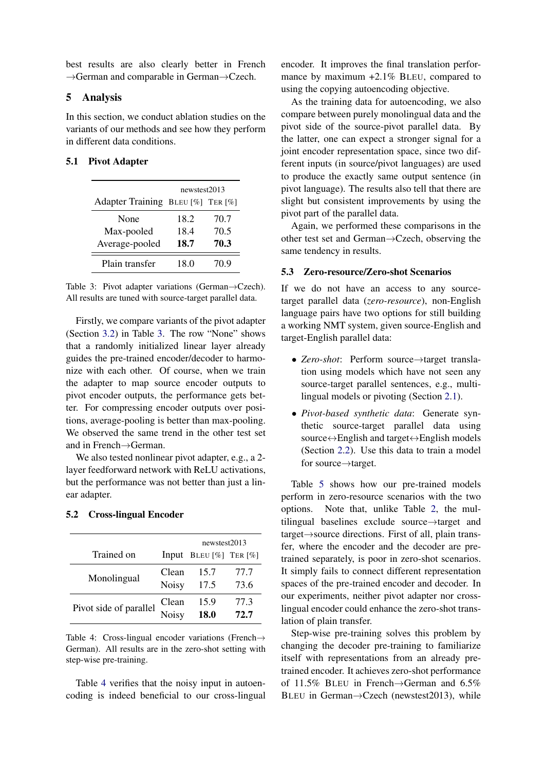best results are also clearly better in French →German and comparable in German→Czech.

# <span id="page-6-0"></span>5 Analysis

In this section, we conduct ablation studies on the variants of our methods and see how they perform in different data conditions.

#### <span id="page-6-1"></span>5.1 Pivot Adapter

|                                   | newstest2013 |      |  |  |
|-----------------------------------|--------------|------|--|--|
| Adapter Training BLEU [%] TER [%] |              |      |  |  |
| None                              | 18.2         | 70.7 |  |  |
| Max-pooled                        | 18.4         | 70.5 |  |  |
| Average-pooled                    | 18.7         | 70.3 |  |  |
| Plain transfer                    | 18.0         | 70.9 |  |  |

Table 3: Pivot adapter variations (German→Czech). All results are tuned with source-target parallel data.

Firstly, we compare variants of the pivot adapter (Section [3.2\)](#page-3-0) in Table [3.](#page-6-1) The row "None" shows that a randomly initialized linear layer already guides the pre-trained encoder/decoder to harmonize with each other. Of course, when we train the adapter to map source encoder outputs to pivot encoder outputs, the performance gets better. For compressing encoder outputs over positions, average-pooling is better than max-pooling. We observed the same trend in the other test set and in French→German.

We also tested nonlinear pivot adapter, e.g., a 2layer feedforward network with ReLU activations, but the performance was not better than just a linear adapter.

# 5.2 Cross-lingual Encoder

<span id="page-6-2"></span>

|                        | newstest2013 |                              |      |  |
|------------------------|--------------|------------------------------|------|--|
| Trained on             |              | Input BLEU $[\%]$ TER $[\%]$ |      |  |
| Monolingual            | Clean        | 15.7                         | 77.7 |  |
|                        | <b>Noisy</b> | 17.5                         | 73.6 |  |
| Pivot side of parallel | Clean        | 15.9                         | 77.3 |  |
|                        | Noisy        | 18.0                         | 72.7 |  |

Table 4: Cross-lingual encoder variations (French $\rightarrow$ German). All results are in the zero-shot setting with step-wise pre-training.

Table [4](#page-6-2) verifies that the noisy input in autoencoding is indeed beneficial to our cross-lingual encoder. It improves the final translation performance by maximum +2.1% BLEU, compared to using the copying autoencoding objective.

As the training data for autoencoding, we also compare between purely monolingual data and the pivot side of the source-pivot parallel data. By the latter, one can expect a stronger signal for a joint encoder representation space, since two different inputs (in source/pivot languages) are used to produce the exactly same output sentence (in pivot language). The results also tell that there are slight but consistent improvements by using the pivot part of the parallel data.

Again, we performed these comparisons in the other test set and German→Czech, observing the same tendency in results.

#### 5.3 Zero-resource/Zero-shot Scenarios

If we do not have an access to any sourcetarget parallel data (*zero-resource*), non-English language pairs have two options for still building a working NMT system, given source-English and target-English parallel data:

- *Zero-shot*: Perform source→target translation using models which have not seen any source-target parallel sentences, e.g., multilingual models or pivoting (Section [2](#page-1-0)[.1\)](#page-1-1).
- *Pivot-based synthetic data*: Generate synthetic source-target parallel data using source↔English and target↔English models (Section [2](#page-1-0)[.2\)](#page-1-2). Use this data to train a model for source→target.

Table [5](#page-7-0) shows how our pre-trained models perform in zero-resource scenarios with the two options. Note that, unlike Table [2,](#page-5-0) the multilingual baselines exclude source→target and target→source directions. First of all, plain transfer, where the encoder and the decoder are pretrained separately, is poor in zero-shot scenarios. It simply fails to connect different representation spaces of the pre-trained encoder and decoder. In our experiments, neither pivot adapter nor crosslingual encoder could enhance the zero-shot translation of plain transfer.

Step-wise pre-training solves this problem by changing the decoder pre-training to familiarize itself with representations from an already pretrained encoder. It achieves zero-shot performance of 11.5% BLEU in French→German and 6.5% BLEU in German→Czech (newstest2013), while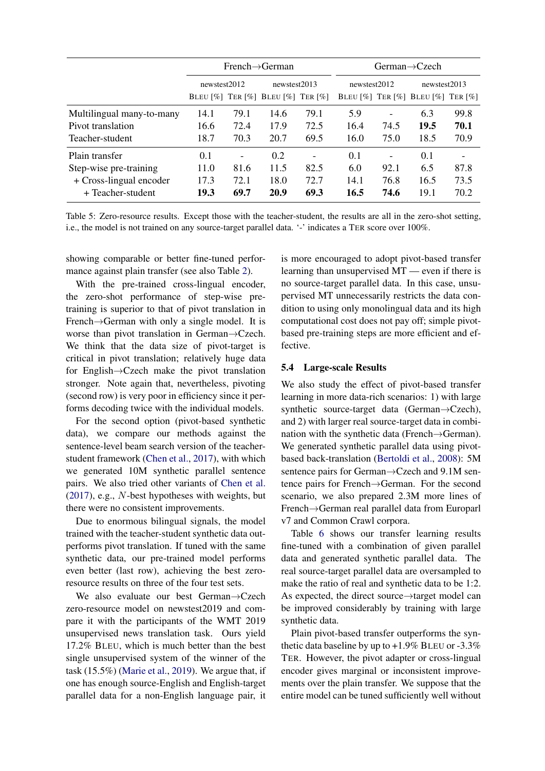<span id="page-7-0"></span>

|                           | $French \rightarrow German$ |                |                                   |      | $German \rightarrow Czech$ |                          |                                   |                              |
|---------------------------|-----------------------------|----------------|-----------------------------------|------|----------------------------|--------------------------|-----------------------------------|------------------------------|
|                           | newstest2012                |                | newstest2013                      |      | newstest2012               |                          | newstest2013                      |                              |
|                           |                             |                | BLEU [%] TER [%] BLEU [%] TER [%] |      |                            |                          | BLEU [%] TER [%] BLEU [%] TER [%] |                              |
| Multilingual many-to-many | 14.1                        | 79.1           | 14.6                              | 79.1 | 5.9                        | $\overline{\phantom{a}}$ | 6.3                               | 99.8                         |
| Pivot translation         | 16.6                        | 72.4           | 17.9                              | 72.5 | 16.4                       | 74.5                     | 19.5                              | 70.1                         |
| Teacher-student           | 18.7                        | 70.3           | 20.7                              | 69.5 | 16.0                       | 75.0                     | 18.5                              | 70.9                         |
| Plain transfer            | 0.1                         | $\overline{a}$ | 0.2                               |      | 0.1                        | $\overline{\phantom{a}}$ | 0.1                               | $\qquad \qquad \blacksquare$ |
| Step-wise pre-training    | 11.0                        | 81.6           | 11.5                              | 82.5 | 6.0                        | 92.1                     | 6.5                               | 87.8                         |
| + Cross-lingual encoder   | 17.3                        | 72.1           | 18.0                              | 72.7 | 14.1                       | 76.8                     | 16.5                              | 73.5                         |
| + Teacher-student         | 19.3                        | 69.7           | 20.9                              | 69.3 | 16.5                       | 74.6                     | 19.1                              | 70.2                         |

Table 5: Zero-resource results. Except those with the teacher-student, the results are all in the zero-shot setting, i.e., the model is not trained on any source-target parallel data. '-' indicates a TER score over 100%.

showing comparable or better fine-tuned performance against plain transfer (see also Table [2\)](#page-5-0).

With the pre-trained cross-lingual encoder, the zero-shot performance of step-wise pretraining is superior to that of pivot translation in French→German with only a single model. It is worse than pivot translation in German→Czech. We think that the data size of pivot-target is critical in pivot translation; relatively huge data for English→Czech make the pivot translation stronger. Note again that, nevertheless, pivoting (second row) is very poor in efficiency since it performs decoding twice with the individual models.

For the second option (pivot-based synthetic data), we compare our methods against the sentence-level beam search version of the teacherstudent framework [\(Chen et al.,](#page-8-1) [2017\)](#page-8-1), with which we generated 10M synthetic parallel sentence pairs. We also tried other variants of [Chen et al.](#page-8-1) [\(2017\)](#page-8-1), e.g., N-best hypotheses with weights, but there were no consistent improvements.

Due to enormous bilingual signals, the model trained with the teacher-student synthetic data outperforms pivot translation. If tuned with the same synthetic data, our pre-trained model performs even better (last row), achieving the best zeroresource results on three of the four test sets.

We also evaluate our best German→Czech zero-resource model on newstest2019 and compare it with the participants of the WMT 2019 unsupervised news translation task. Ours yield 17.2% BLEU, which is much better than the best single unsupervised system of the winner of the task (15.5%) [\(Marie et al.,](#page-9-18) [2019\)](#page-9-18). We argue that, if one has enough source-English and English-target parallel data for a non-English language pair, it

is more encouraged to adopt pivot-based transfer learning than unsupervised MT — even if there is no source-target parallel data. In this case, unsupervised MT unnecessarily restricts the data condition to using only monolingual data and its high computational cost does not pay off; simple pivotbased pre-training steps are more efficient and effective.

#### 5.4 Large-scale Results

We also study the effect of pivot-based transfer learning in more data-rich scenarios: 1) with large synthetic source-target data (German→Czech), and 2) with larger real source-target data in combination with the synthetic data (French→German). We generated synthetic parallel data using pivotbased back-translation [\(Bertoldi et al.,](#page-8-0) [2008\)](#page-8-0): 5M sentence pairs for German→Czech and 9.1M sentence pairs for French→German. For the second scenario, we also prepared 2.3M more lines of French→German real parallel data from Europarl v7 and Common Crawl corpora.

Table [6](#page-8-4) shows our transfer learning results fine-tuned with a combination of given parallel data and generated synthetic parallel data. The real source-target parallel data are oversampled to make the ratio of real and synthetic data to be 1:2. As expected, the direct source→target model can be improved considerably by training with large synthetic data.

Plain pivot-based transfer outperforms the synthetic data baseline by up to  $+1.9\%$  BLEU or  $-3.3\%$ TER. However, the pivot adapter or cross-lingual encoder gives marginal or inconsistent improvements over the plain transfer. We suppose that the entire model can be tuned sufficiently well without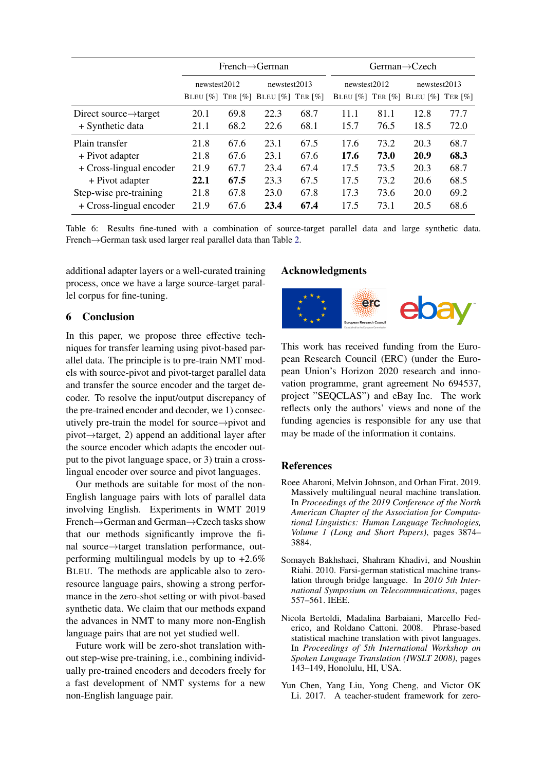<span id="page-8-4"></span>

|                                    | $French \rightarrow German$ |      |                                                                                               |      | $German \rightarrow Czech$ |      |                                                                       |      |
|------------------------------------|-----------------------------|------|-----------------------------------------------------------------------------------------------|------|----------------------------|------|-----------------------------------------------------------------------|------|
|                                    | newstest2012                |      | newstest2013                                                                                  |      | newstest2012               |      | newstest2013                                                          |      |
|                                    |                             |      | BLEU $\lceil \% \rceil$ TER $\lceil \% \rceil$ BLEU $\lceil \% \rceil$ TER $\lceil \% \rceil$ |      | $BLEU$ $\lceil\% \rceil$   |      | TER $\lceil \% \rceil$ BLEU $\lceil \% \rceil$ TER $\lceil \% \rceil$ |      |
| Direct source $\rightarrow$ target | 20.1                        | 69.8 | 22.3                                                                                          | 68.7 | 11.1                       | 81.1 | 12.8                                                                  | 77.7 |
| + Synthetic data                   | 21.1                        | 68.2 | 22.6                                                                                          | 68.1 | 15.7                       | 76.5 | 18.5                                                                  | 72.0 |
| Plain transfer                     | 21.8                        | 67.6 | 23.1                                                                                          | 67.5 | 17.6                       | 73.2 | 20.3                                                                  | 68.7 |
| + Pivot adapter                    | 21.8                        | 67.6 | 23.1                                                                                          | 67.6 | 17.6                       | 73.0 | 20.9                                                                  | 68.3 |
| + Cross-lingual encoder            | 21.9                        | 67.7 | 23.4                                                                                          | 67.4 | 17.5                       | 73.5 | 20.3                                                                  | 68.7 |
| + Pivot adapter                    | 22.1                        | 67.5 | 23.3                                                                                          | 67.5 | 17.5                       | 73.2 | 20.6                                                                  | 68.5 |
| Step-wise pre-training             | 21.8                        | 67.8 | 23.0                                                                                          | 67.8 | 17.3                       | 73.6 | 20.0                                                                  | 69.2 |
| + Cross-lingual encoder            | 21.9                        | 67.6 | 23.4                                                                                          | 67.4 | 17.5                       | 73.1 | 20.5                                                                  | 68.6 |

Table 6: Results fine-tuned with a combination of source-target parallel data and large synthetic data. French→German task used larger real parallel data than Table [2.](#page-5-0)

additional adapter layers or a well-curated training process, once we have a large source-target parallel corpus for fine-tuning.

# 6 Conclusion

In this paper, we propose three effective techniques for transfer learning using pivot-based parallel data. The principle is to pre-train NMT models with source-pivot and pivot-target parallel data and transfer the source encoder and the target decoder. To resolve the input/output discrepancy of the pre-trained encoder and decoder, we 1) consecutively pre-train the model for source→pivot and pivot→target, 2) append an additional layer after the source encoder which adapts the encoder output to the pivot language space, or 3) train a crosslingual encoder over source and pivot languages.

Our methods are suitable for most of the non-English language pairs with lots of parallel data involving English. Experiments in WMT 2019 French→German and German→Czech tasks show that our methods significantly improve the final source→target translation performance, outperforming multilingual models by up to +2.6% BLEU. The methods are applicable also to zeroresource language pairs, showing a strong performance in the zero-shot setting or with pivot-based synthetic data. We claim that our methods expand the advances in NMT to many more non-English language pairs that are not yet studied well.

Future work will be zero-shot translation without step-wise pre-training, i.e., combining individually pre-trained encoders and decoders freely for a fast development of NMT systems for a new non-English language pair.

### Acknowledgments



This work has received funding from the European Research Council (ERC) (under the European Union's Horizon 2020 research and innovation programme, grant agreement No 694537, project "SEQCLAS") and eBay Inc. The work reflects only the authors' views and none of the funding agencies is responsible for any use that may be made of the information it contains.

### References

- <span id="page-8-3"></span>Roee Aharoni, Melvin Johnson, and Orhan Firat. 2019. Massively multilingual neural machine translation. In *Proceedings of the 2019 Conference of the North American Chapter of the Association for Computational Linguistics: Human Language Technologies, Volume 1 (Long and Short Papers)*, pages 3874– 3884.
- <span id="page-8-2"></span>Somayeh Bakhshaei, Shahram Khadivi, and Noushin Riahi. 2010. Farsi-german statistical machine translation through bridge language. In *2010 5th International Symposium on Telecommunications*, pages 557–561. IEEE.
- <span id="page-8-0"></span>Nicola Bertoldi, Madalina Barbaiani, Marcello Federico, and Roldano Cattoni. 2008. Phrase-based statistical machine translation with pivot languages. In *Proceedings of 5th International Workshop on Spoken Language Translation (IWSLT 2008)*, pages 143–149, Honolulu, HI, USA.
- <span id="page-8-1"></span>Yun Chen, Yang Liu, Yong Cheng, and Victor OK Li. 2017. A teacher-student framework for zero-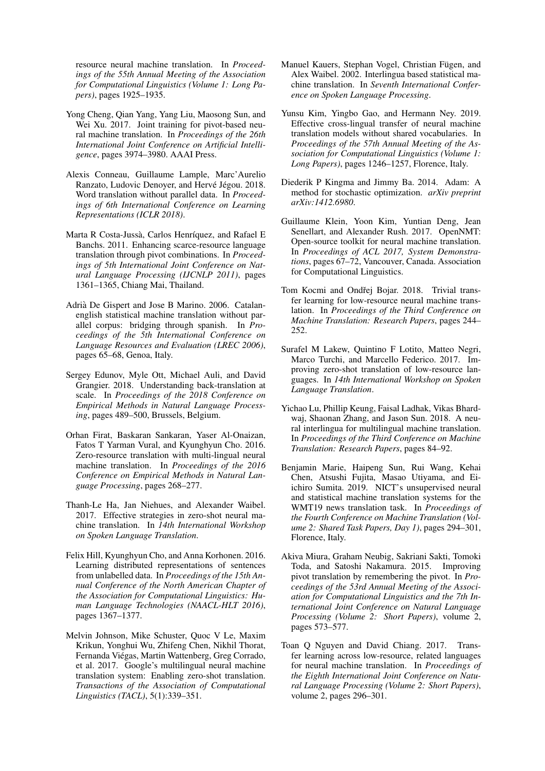resource neural machine translation. In *Proceedings of the 55th Annual Meeting of the Association for Computational Linguistics (Volume 1: Long Papers)*, pages 1925–1935.

- <span id="page-9-6"></span>Yong Cheng, Qian Yang, Yang Liu, Maosong Sun, and Wei Xu. 2017. Joint training for pivot-based neural machine translation. In *Proceedings of the 26th International Joint Conference on Artificial Intelligence*, pages 3974–3980. AAAI Press.
- <span id="page-9-17"></span>Alexis Conneau, Guillaume Lample, Marc'Aurelio Ranzato, Ludovic Denoyer, and Hervé Jégou. 2018. Word translation without parallel data. In *Proceedings of 6th International Conference on Learning Representations (ICLR 2018)*.
- <span id="page-9-4"></span>Marta R Costa-Jussà, Carlos Henríquez, and Rafael E Banchs. 2011. Enhancing scarce-resource language translation through pivot combinations. In *Proceedings of 5th International Joint Conference on Natural Language Processing (IJCNLP 2011)*, pages 1361–1365, Chiang Mai, Thailand.
- <span id="page-9-0"></span>Adrià De Gispert and Jose B Marino. 2006. Catalanenglish statistical machine translation without parallel corpus: bridging through spanish. In *Proceedings of the 5th International Conference on Language Resources and Evaluation (LREC 2006)*, pages 65–68, Genoa, Italy.
- <span id="page-9-14"></span>Sergey Edunov, Myle Ott, Michael Auli, and David Grangier. 2018. Understanding back-translation at scale. In *Proceedings of the 2018 Conference on Empirical Methods in Natural Language Processing*, pages 489–500, Brussels, Belgium.
- <span id="page-9-1"></span>Orhan Firat, Baskaran Sankaran, Yaser Al-Onaizan, Fatos T Yarman Vural, and Kyunghyun Cho. 2016. Zero-resource translation with multi-lingual neural machine translation. In *Proceedings of the 2016 Conference on Empirical Methods in Natural Language Processing*, pages 268–277.
- <span id="page-9-8"></span>Thanh-Le Ha, Jan Niehues, and Alexander Waibel. 2017. Effective strategies in zero-shot neural machine translation. In *14th International Workshop on Spoken Language Translation*.
- <span id="page-9-13"></span>Felix Hill, Kyunghyun Cho, and Anna Korhonen. 2016. Learning distributed representations of sentences from unlabelled data. In *Proceedings of the 15th Annual Conference of the North American Chapter of the Association for Computational Linguistics: Human Language Technologies (NAACL-HLT 2016)*, pages 1367–1377.
- <span id="page-9-2"></span>Melvin Johnson, Mike Schuster, Quoc V Le, Maxim Krikun, Yonghui Wu, Zhifeng Chen, Nikhil Thorat, Fernanda Viegas, Martin Wattenberg, Greg Corrado, ´ et al. 2017. Google's multilingual neural machine translation system: Enabling zero-shot translation. *Transactions of the Association of Computational Linguistics (TACL)*, 5(1):339–351.
- <span id="page-9-3"></span>Manuel Kauers, Stephan Vogel, Christian Fügen, and Alex Waibel. 2002. Interlingua based statistical machine translation. In *Seventh International Conference on Spoken Language Processing*.
- <span id="page-9-12"></span>Yunsu Kim, Yingbo Gao, and Hermann Ney. 2019. Effective cross-lingual transfer of neural machine translation models without shared vocabularies. In *Proceedings of the 57th Annual Meeting of the Association for Computational Linguistics (Volume 1: Long Papers)*, pages 1246–1257, Florence, Italy.
- <span id="page-9-15"></span>Diederik P Kingma and Jimmy Ba. 2014. Adam: A method for stochastic optimization. *arXiv preprint arXiv:1412.6980*.
- <span id="page-9-16"></span>Guillaume Klein, Yoon Kim, Yuntian Deng, Jean Senellart, and Alexander Rush. 2017. OpenNMT: Open-source toolkit for neural machine translation. In *Proceedings of ACL 2017, System Demonstrations*, pages 67–72, Vancouver, Canada. Association for Computational Linguistics.
- <span id="page-9-11"></span>Tom Kocmi and Ondřej Bojar. 2018. Trivial transfer learning for low-resource neural machine translation. In *Proceedings of the Third Conference on Machine Translation: Research Papers*, pages 244– 252.
- <span id="page-9-9"></span>Surafel M Lakew, Quintino F Lotito, Matteo Negri, Marco Turchi, and Marcello Federico. 2017. Improving zero-shot translation of low-resource languages. In *14th International Workshop on Spoken Language Translation*.
- <span id="page-9-7"></span>Yichao Lu, Phillip Keung, Faisal Ladhak, Vikas Bhardwaj, Shaonan Zhang, and Jason Sun. 2018. A neural interlingua for multilingual machine translation. In *Proceedings of the Third Conference on Machine Translation: Research Papers*, pages 84–92.
- <span id="page-9-18"></span>Benjamin Marie, Haipeng Sun, Rui Wang, Kehai Chen, Atsushi Fujita, Masao Utiyama, and Eiichiro Sumita. 2019. NICT's unsupervised neural and statistical machine translation systems for the WMT19 news translation task. In *Proceedings of the Fourth Conference on Machine Translation (Volume 2: Shared Task Papers, Day 1)*, pages 294–301, Florence, Italy.
- <span id="page-9-5"></span>Akiva Miura, Graham Neubig, Sakriani Sakti, Tomoki Toda, and Satoshi Nakamura. 2015. Improving pivot translation by remembering the pivot. In *Proceedings of the 53rd Annual Meeting of the Association for Computational Linguistics and the 7th International Joint Conference on Natural Language Processing (Volume 2: Short Papers)*, volume 2, pages 573–577.
- <span id="page-9-10"></span>Toan Q Nguyen and David Chiang. 2017. Transfer learning across low-resource, related languages for neural machine translation. In *Proceedings of the Eighth International Joint Conference on Natural Language Processing (Volume 2: Short Papers)*, volume 2, pages 296–301.